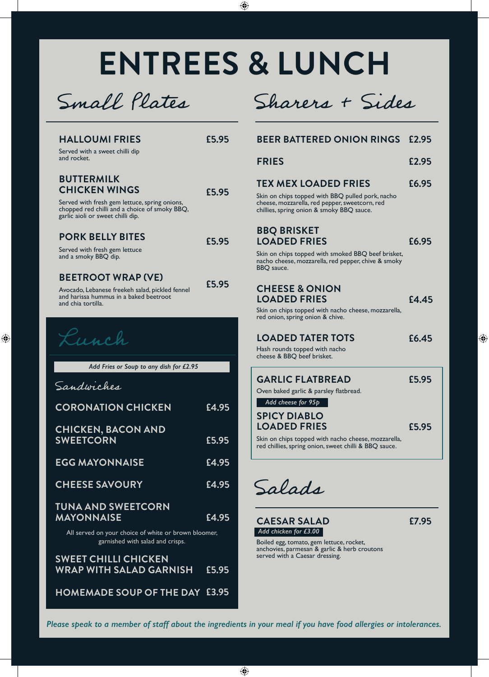# **ENTREES & LUNCH**

 $\bigoplus$ 

Small Plates



| <b>HALLOUMI FRIES</b><br>Served with a sweet chilli dip<br>and rocket.                                                                                                           | £5.95 |  |
|----------------------------------------------------------------------------------------------------------------------------------------------------------------------------------|-------|--|
| <b>BUTTERMILK</b><br><b>CHICKEN WINGS</b><br>Served with fresh gem lettuce, spring onions,<br>chopped red chilli and a choice of smoky BBQ,<br>garlic aioli or sweet chilli dip. | £5.95 |  |
| <b>PORK BELLY BITES</b><br>Served with fresh gem lettuce<br>and a smoky BBQ dip.                                                                                                 | £5.95 |  |
| <b>BEETROOT WRAP (VE)</b><br>Avocado, Lebanese freekeh salad, pickled fennel<br>and harissa hummus in a baked beetroot<br>and chia tortilla.                                     | £5.95 |  |
| u ch                                                                                                                                                                             |       |  |
| Add Fries or Soup to any dish for £2.95                                                                                                                                          |       |  |
|                                                                                                                                                                                  |       |  |
| Sandwiches                                                                                                                                                                       |       |  |
| <b>CORONATION CHICKEN</b>                                                                                                                                                        | £4.95 |  |
| <b>CHICKEN, BACON AND</b><br><b>SWEETCORN</b>                                                                                                                                    | £5.95 |  |
| <b>EGG MAYONNAISE</b>                                                                                                                                                            | £4.95 |  |
| <b>CHEESE SAVOURY</b>                                                                                                                                                            | £4.95 |  |
| <b>TUNA AND SWEETCORN</b><br><b>MAYONNAISE</b>                                                                                                                                   | £4.95 |  |
| All served on your choice of white or brown bloomer,<br>garnished with salad and crisps.                                                                                         |       |  |
| <b>SWEET CHILLI CHICKEN</b><br>WRAP WITH SALAD GARNISH                                                                                                                           | £5.95 |  |

◈

| <b>FRIES</b>                                                                                                                                    | £2.95 |
|-------------------------------------------------------------------------------------------------------------------------------------------------|-------|
| <b>TEX MEX LOADED FRIES</b>                                                                                                                     | £6.95 |
| Skin on chips topped with BBQ pulled pork, nacho<br>cheese, mozzarella, red pepper, sweetcorn, red<br>chillies, spring onion & smoky BBQ sauce. |       |
| <b>BBQ BRISKET</b><br><b>LOADED FRIES</b>                                                                                                       | £6.95 |
| Skin on chips topped with smoked BBQ beef brisket,                                                                                              |       |

**£2.95 BEER BATTERED ONION RINGS**

nacho cheese, mozzarella, red pepper, chive & smoky BBQ sauce.

### **CHEESE & ONION LOADED FRIES**

Skin on chips topped with nacho cheese, mozzarella, red onion, spring onion & chive.

Hash rounds topped with nacho cheese & BBQ beef brisket.

| <b>GARLIC FLATBREAD</b>                                                        | £5.95 |
|--------------------------------------------------------------------------------|-------|
| Oven baked garlic & parsley flatbread.                                         |       |
| Add cheese for 95p                                                             |       |
| <b>SPICY DIABLO</b>                                                            |       |
| <b>LOADED FRIES</b>                                                            | £5.95 |
| بمالمستمسم مستحقين والمتعاملة والمتعاشر والمتساوية والمستقطع والمتحامل ويتمارك |       |

chips topped with nacho red chillies, spring onion, sweet chilli & BBQ sauce.

Salads

**CAESAR SALAD £7.95** *Add chicken for £3.00 Add chicken for £3.00*

**£4.45**

⊕

Boiled egg, tomato, gem lettuce, rocket, anchovies, parmesan & garlic & herb croutons served with a Caesar dressing.

*Please speak to a member of staff about the ingredients in your meal if you have food allergies or intolerances.*

 $\bigoplus$